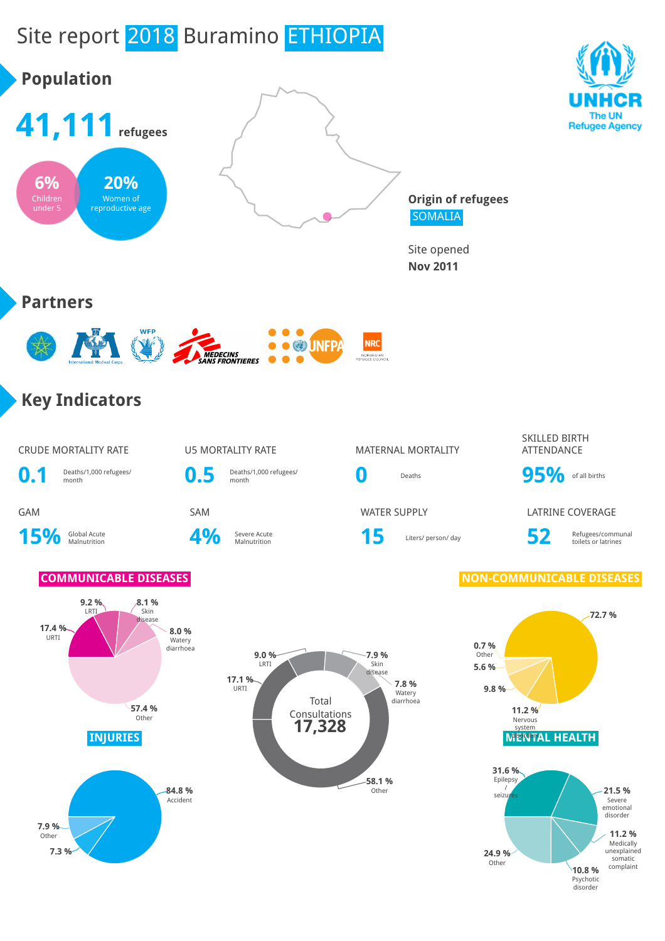# Site report 2018 Buramino ETHIOPIA

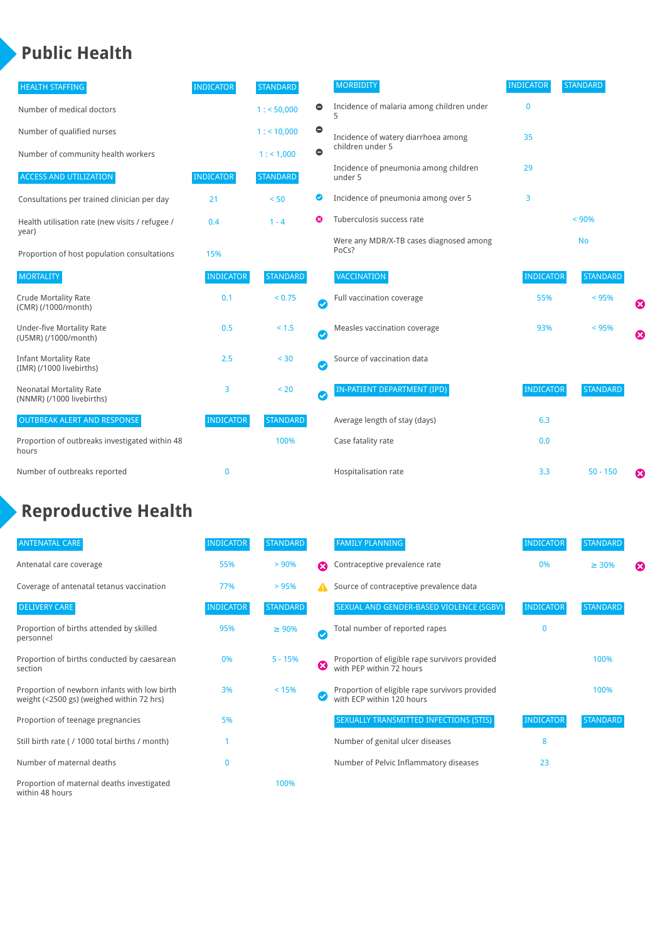### **Public Health**

| <b>HEALTH STAFFING</b>                                      | <b>INDICATOR</b> | <b>STANDARD</b> |           | <b>MORBIDITY</b>                                 | <b>INDICATOR</b> | <b>STANDARD</b> |   |
|-------------------------------------------------------------|------------------|-----------------|-----------|--------------------------------------------------|------------------|-----------------|---|
| Number of medical doctors                                   |                  | 1: 50,000       | $\bullet$ | Incidence of malaria among children under        | $\bf{0}$         |                 |   |
| Number of qualified nurses                                  |                  | $1:$ < 10,000   | $\bullet$ | Incidence of watery diarrhoea among              | 35               |                 |   |
| Number of community health workers                          |                  | 1:1,000         | $\bullet$ | children under 5                                 |                  |                 |   |
| <b>ACCESS AND UTILIZATION</b>                               | <b>INDICATOR</b> | <b>STANDARD</b> |           | Incidence of pneumonia among children<br>under 5 | 29               |                 |   |
| Consultations per trained clinician per day                 | 21               | < 50            | Ø         | Incidence of pneumonia among over 5              | 3                |                 |   |
| Health utilisation rate (new visits / refugee /             | 0.4              | $1 - 4$         | ೞ         | Tuberculosis success rate                        |                  | < 90%           |   |
| year)<br>Proportion of host population consultations        | 15%              |                 |           | Were any MDR/X-TB cases diagnosed among<br>PoCs? |                  | <b>No</b>       |   |
| <b>MORTALITY</b>                                            | <b>INDICATOR</b> | <b>STANDARD</b> |           | <b>VACCINATION</b>                               | <b>INDICATOR</b> | <b>STANDARD</b> |   |
| <b>Crude Mortality Rate</b><br>(CMR) (/1000/month)          | 0.1              | < 0.75          | Ø         | Full vaccination coverage                        | 55%              | < 95%           | ೞ |
| Under-five Mortality Rate<br>(U5MR) (/1000/month)           | 0.5              | $< 1.5$         | Ø         | Measles vaccination coverage                     | 93%              | < 95%           | Ø |
| <b>Infant Mortality Rate</b><br>(IMR) (/1000 livebirths)    | 2.5              | $30$            | Ø         | Source of vaccination data                       |                  |                 |   |
| <b>Neonatal Mortality Rate</b><br>(NNMR) (/1000 livebirths) | 3                | < 20            | Ø         | IN-PATIENT DEPARTMENT (IPD)                      | <b>INDICATOR</b> | <b>STANDARD</b> |   |
| <b>OUTBREAK ALERT AND RESPONSE</b>                          | <b>INDICATOR</b> | <b>STANDARD</b> |           | Average length of stay (days)                    | 6.3              |                 |   |
| Proportion of outbreaks investigated within 48<br>hours     |                  | 100%            |           | Case fatality rate                               | 0.0              |                 |   |
| Number of outbreaks reported                                | 0                |                 |           | Hospitalisation rate                             | 3.3              | $50 - 150$      | ೞ |

## **Reproductive Health**

| <b>ANTENATAL CARE</b>                                                                     | <b>INDICATOR</b> | <b>STANDARD</b> |               | <b>FAMILY PLANNING</b>                                                      | <b>INDICATOR</b> | <b>STANDARD</b> |   |
|-------------------------------------------------------------------------------------------|------------------|-----------------|---------------|-----------------------------------------------------------------------------|------------------|-----------------|---|
| Antenatal care coverage                                                                   | 55%              | > 90%           | Ω             | Contraceptive prevalence rate                                               | 0%               | $\geq 30\%$     | ⊠ |
| Coverage of antenatal tetanus vaccination                                                 | 77%              | >95%            |               | Source of contraceptive prevalence data                                     |                  |                 |   |
| <b>DELIVERY CARE</b>                                                                      | <b>INDICATOR</b> | <b>STANDARD</b> |               | SEXUAL AND GENDER-BASED VIOLENCE (SGBV)                                     | <b>INDICATOR</b> | <b>STANDARD</b> |   |
| Proportion of births attended by skilled<br>personnel                                     | 95%              | $\geq 90\%$     | $\bm{\omega}$ | Total number of reported rapes                                              | $\mathbf{0}$     |                 |   |
| Proportion of births conducted by caesarean<br>section                                    | 0%               | $5 - 15%$       | ظ             | Proportion of eligible rape survivors provided<br>with PEP within 72 hours  |                  | 100%            |   |
| Proportion of newborn infants with low birth<br>weight (<2500 gs) (weighed within 72 hrs) | 3%               | < 15%           |               | Proportion of eligible rape survivors provided<br>with ECP within 120 hours |                  | 100%            |   |
| Proportion of teenage pregnancies                                                         | 5%               |                 |               | SEXUALLY TRANSMITTED INFECTIONS (STIS)                                      | <b>INDICATOR</b> | <b>STANDARD</b> |   |
| Still birth rate (/ 1000 total births / month)                                            |                  |                 |               | Number of genital ulcer diseases                                            | 8                |                 |   |
| Number of maternal deaths                                                                 | $\mathbf{0}$     |                 |               | Number of Pelvic Inflammatory diseases                                      | 23               |                 |   |
| Proportion of maternal deaths investigated<br>within 48 hours                             |                  | 100%            |               |                                                                             |                  |                 |   |